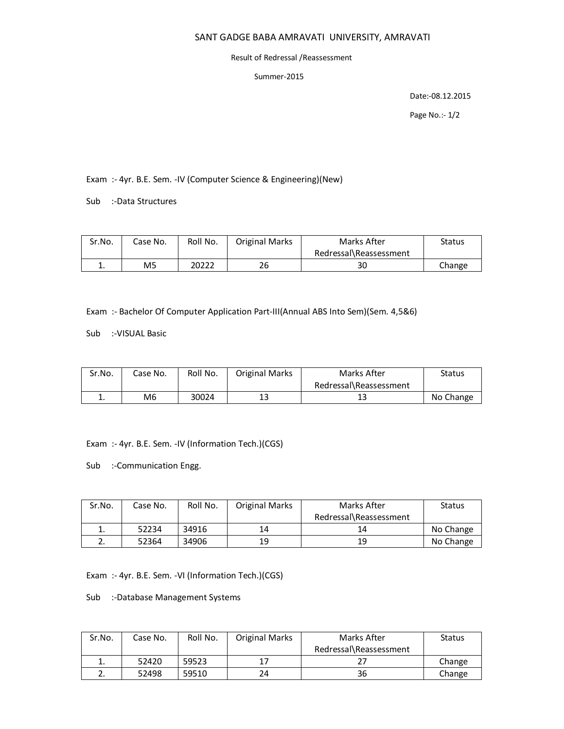## SANT GADGE BABA AMRAVATI UNIVERSITY, AMRAVATI

## Result of Redressal /Reassessment

Summer-2015

Date:-08.12.2015

Page No.:- 1/2

Exam :- 4yr. B.E. Sem. -IV (Computer Science & Engineering)(New)

Sub :-Data Structures

| Sr.No. | Case No.       | Roll No. | <b>Original Marks</b> | Marks After            | <b>Status</b> |
|--------|----------------|----------|-----------------------|------------------------|---------------|
|        |                |          |                       | Redressal\Reassessment |               |
|        | M <sub>5</sub> | 20222    | 26                    | 30                     | Change        |

Exam :- Bachelor Of Computer Application Part-III(Annual ABS Into Sem)(Sem. 4,5&6)

Sub :-VISUAL Basic

| Sr.No. | Case No. | Roll No. | <b>Original Marks</b> | Marks After            | <b>Status</b> |
|--------|----------|----------|-----------------------|------------------------|---------------|
|        |          |          |                       | Redressal\Reassessment |               |
|        | M6       | 30024    | 13                    | 13                     | No Change     |

Exam :- 4yr. B.E. Sem. -IV (Information Tech.)(CGS)

Sub :-Communication Engg.

| Sr.No. | Case No. | Roll No. | <b>Original Marks</b> | Marks After            | <b>Status</b> |
|--------|----------|----------|-----------------------|------------------------|---------------|
|        |          |          |                       | Redressal\Reassessment |               |
| ∸.     | 52234    | 34916    | 14                    | 14                     | No Change     |
|        | 52364    | 34906    | 19                    | 19                     | No Change     |

Exam :- 4yr. B.E. Sem. -VI (Information Tech.)(CGS)

Sub :-Database Management Systems

| Sr.No. | Case No. | Roll No. | <b>Original Marks</b> | Marks After            | <b>Status</b> |
|--------|----------|----------|-----------------------|------------------------|---------------|
|        |          |          |                       | Redressal\Reassessment |               |
|        | 52420    | 59523    |                       |                        | Change        |
|        | 52498    | 59510    | 24                    | 36                     | Change        |